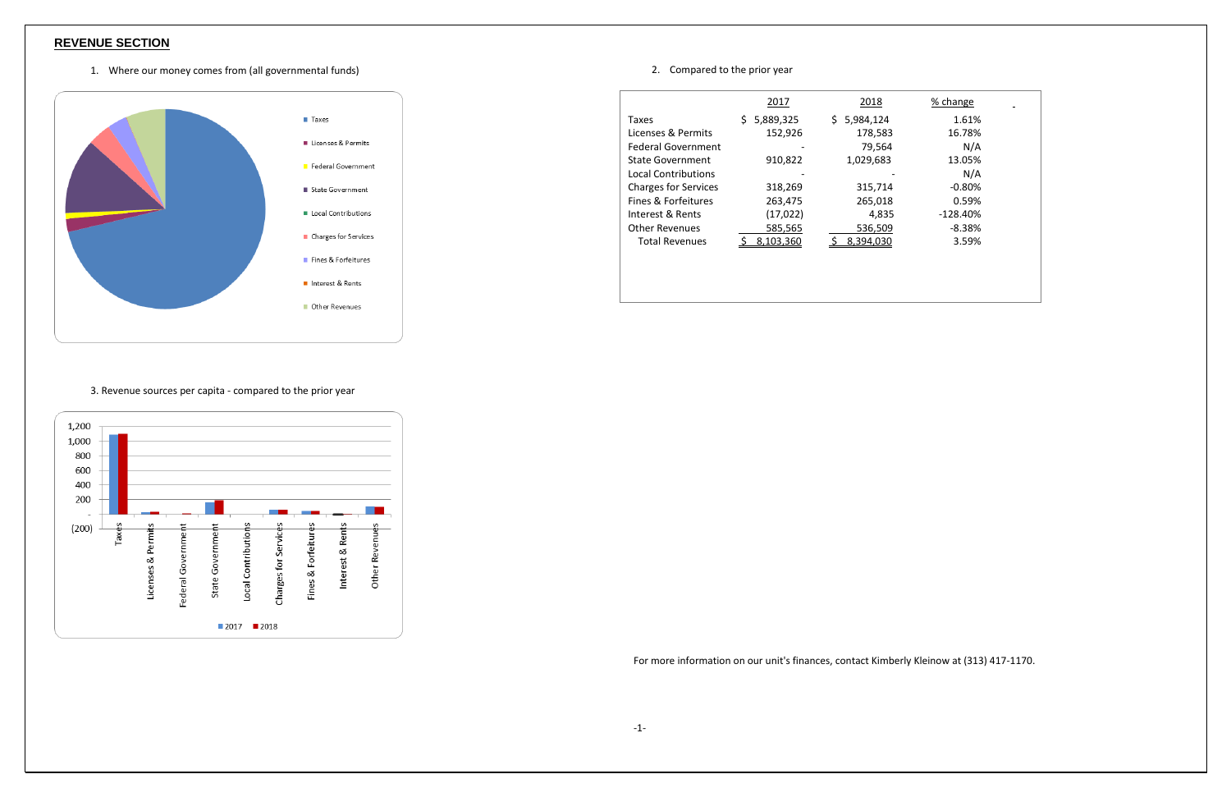## **REVENUE SECTION**

1. Where our money comes from (all governmental funds)



#### 3. Revenue sources per capita - compared to the prior year



### 2. Compared to the prior year

|                             | 2017            | 2018             | % change   |
|-----------------------------|-----------------|------------------|------------|
| <b>Taxes</b>                | 5,889,325<br>S. | 5,984,124<br>\$. | 1.61%      |
| Licenses & Permits          | 152,926         | 178,583          | 16.78%     |
| <b>Federal Government</b>   |                 | 79,564           | N/A        |
| <b>State Government</b>     | 910,822         | 1,029,683        | 13.05%     |
| <b>Local Contributions</b>  |                 |                  | N/A        |
| <b>Charges for Services</b> | 318,269         | 315,714          | $-0.80%$   |
| Fines & Forfeitures         | 263,475         | 265,018          | 0.59%      |
| Interest & Rents            | (17, 022)       | 4,835            | $-128.40%$ |
| <b>Other Revenues</b>       | 585,565         | 536,509          | $-8.38%$   |
| <b>Total Revenues</b>       | 8,103,360       | 8.394.030        | 3.59%      |
|                             |                 |                  |            |

For more information on our unit's finances, contact Kimberly Kleinow at (313) 417-1170.

| % change |
|----------|
| 1.61%    |
| 16.78%   |
| N/A      |
| 13.05%   |
| N/A      |
| -0.80%   |
| 0.59%    |
| -128.40% |
| -8.38%   |
| 3.59%    |
|          |
|          |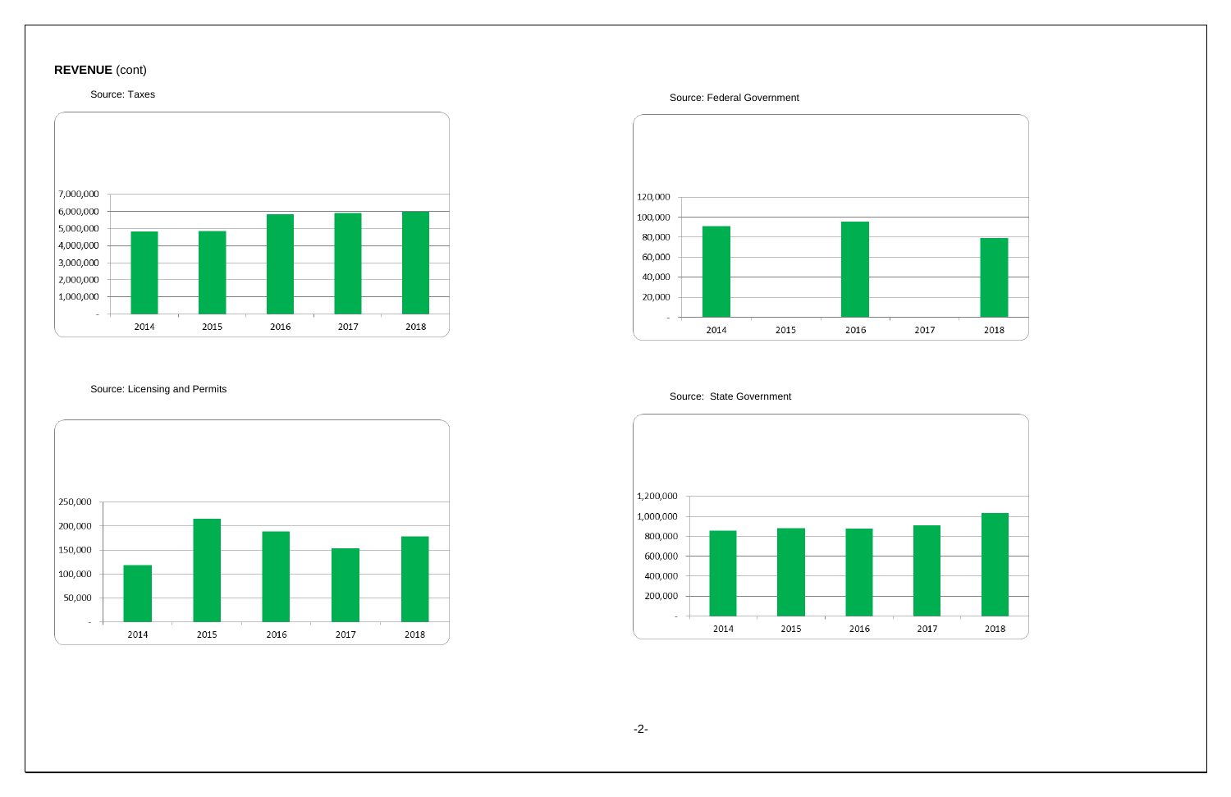# **REVENUE** (cont)

## Source: Taxes



Source: Licensing and Permits



Source: Federal Government



Source: State Government



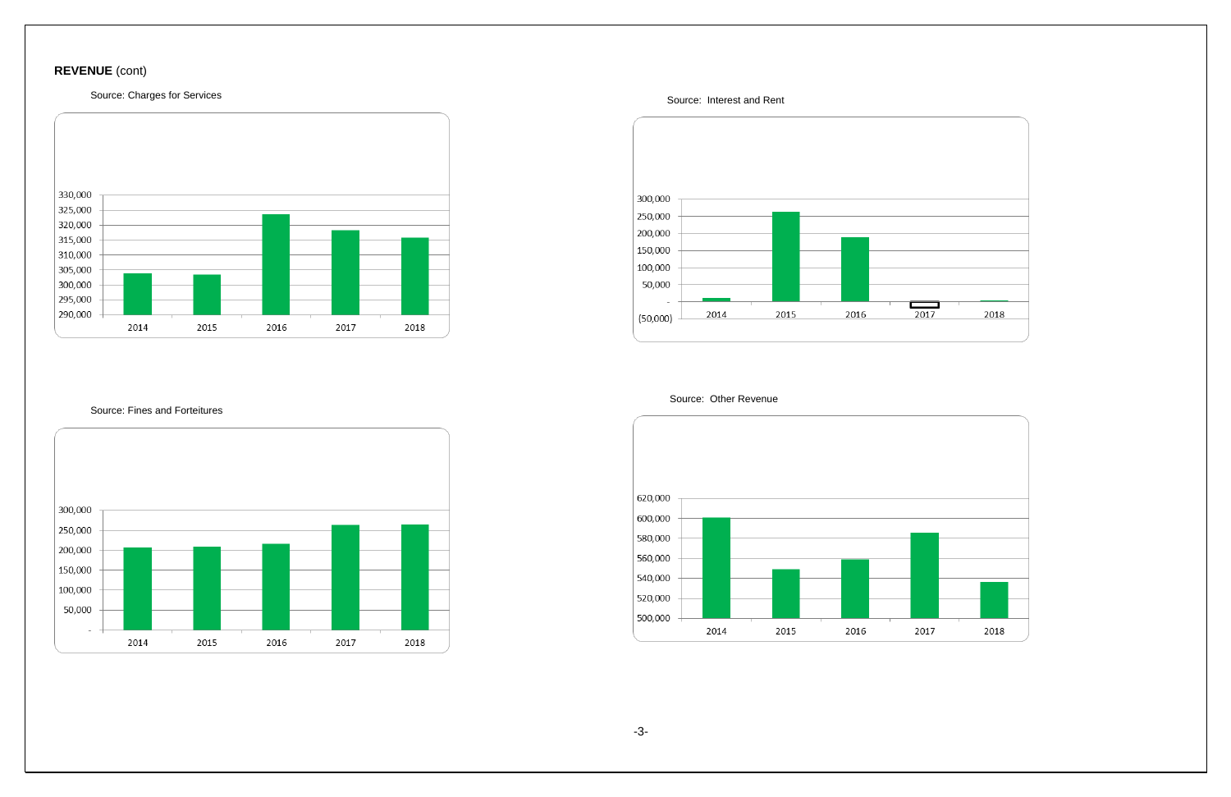# **REVENUE** (cont)

Source: Charges for Services



#### Source: Fines and Forteitures



Source: Interest and Rent



Source: Other Revenue

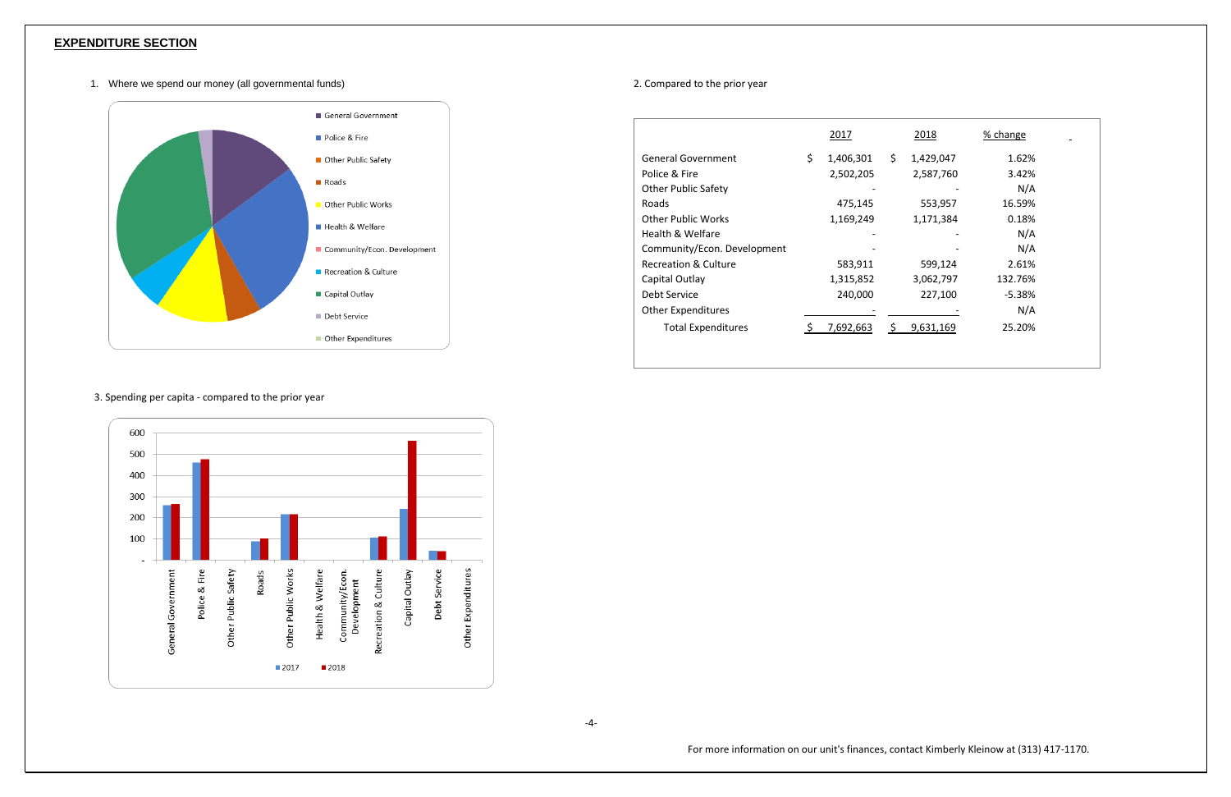## **EXPENDITURE SECTION**

1. Where we spend our money (all governmental funds)



### 3. Spending per capita - compared to the prior year



-4-

#### 2. Compared to the prior year

|                             | 2017            |     | <u>2018</u> | % change |
|-----------------------------|-----------------|-----|-------------|----------|
| <b>General Government</b>   | \$<br>1,406,301 | \$  | 1,429,047   | 1.62%    |
| Police & Fire               | 2,502,205       |     | 2,587,760   | 3.42%    |
| <b>Other Public Safety</b>  |                 |     |             | N/A      |
| Roads                       | 475,145         |     | 553,957     | 16.59%   |
| <b>Other Public Works</b>   | 1,169,249       |     | 1,171,384   | 0.18%    |
| Health & Welfare            |                 |     |             | N/A      |
| Community/Econ. Development |                 |     |             | N/A      |
| Recreation & Culture        | 583,911         |     | 599,124     | 2.61%    |
| Capital Outlay              | 1,315,852       |     | 3,062,797   | 132.76%  |
| Debt Service                | 240,000         |     | 227,100     | $-5.38%$ |
| <b>Other Expenditures</b>   |                 |     |             | N/A      |
| <b>Total Expenditures</b>   | 7,692,663       | \$. | 9,631,169   | 25.20%   |
|                             |                 |     |             |          |
|                             |                 |     |             |          |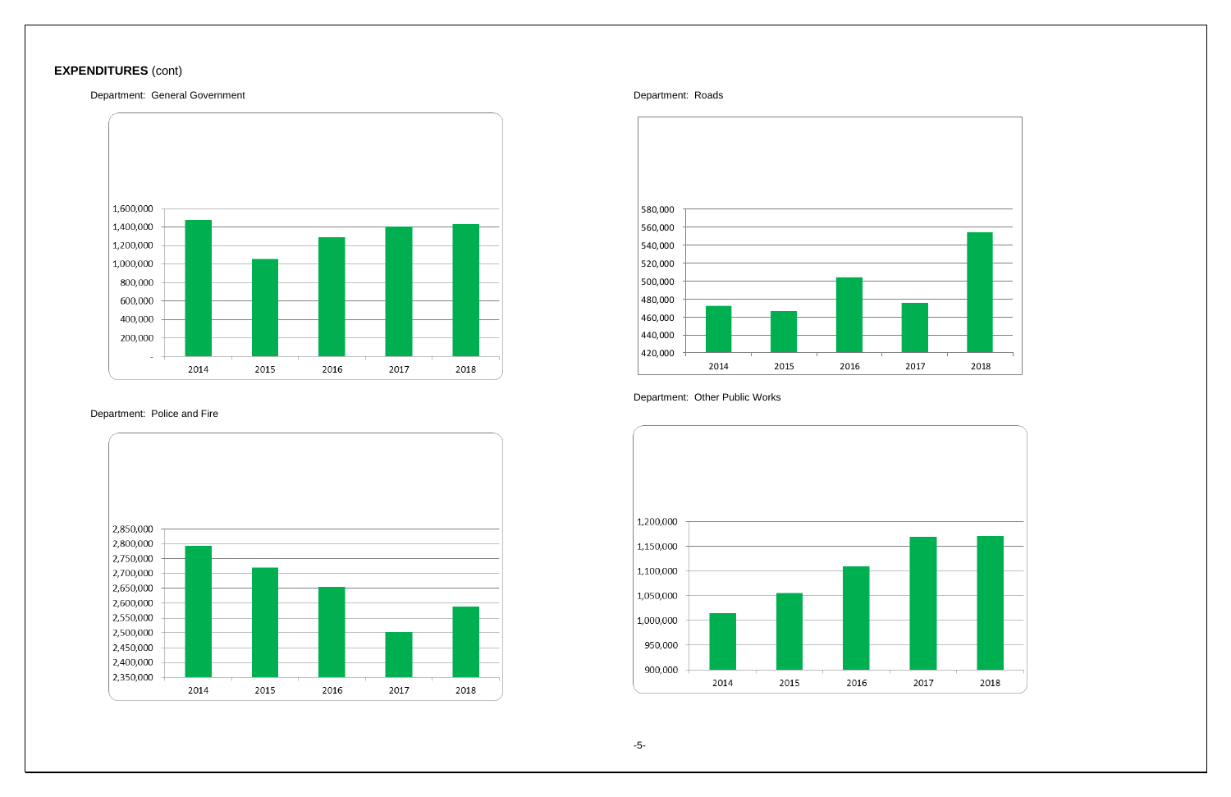# **EXPENDITURES** (cont)

#### Department: General Government



## Department: Police and Fire



#### Department: Roads



### Department: Other Public Works



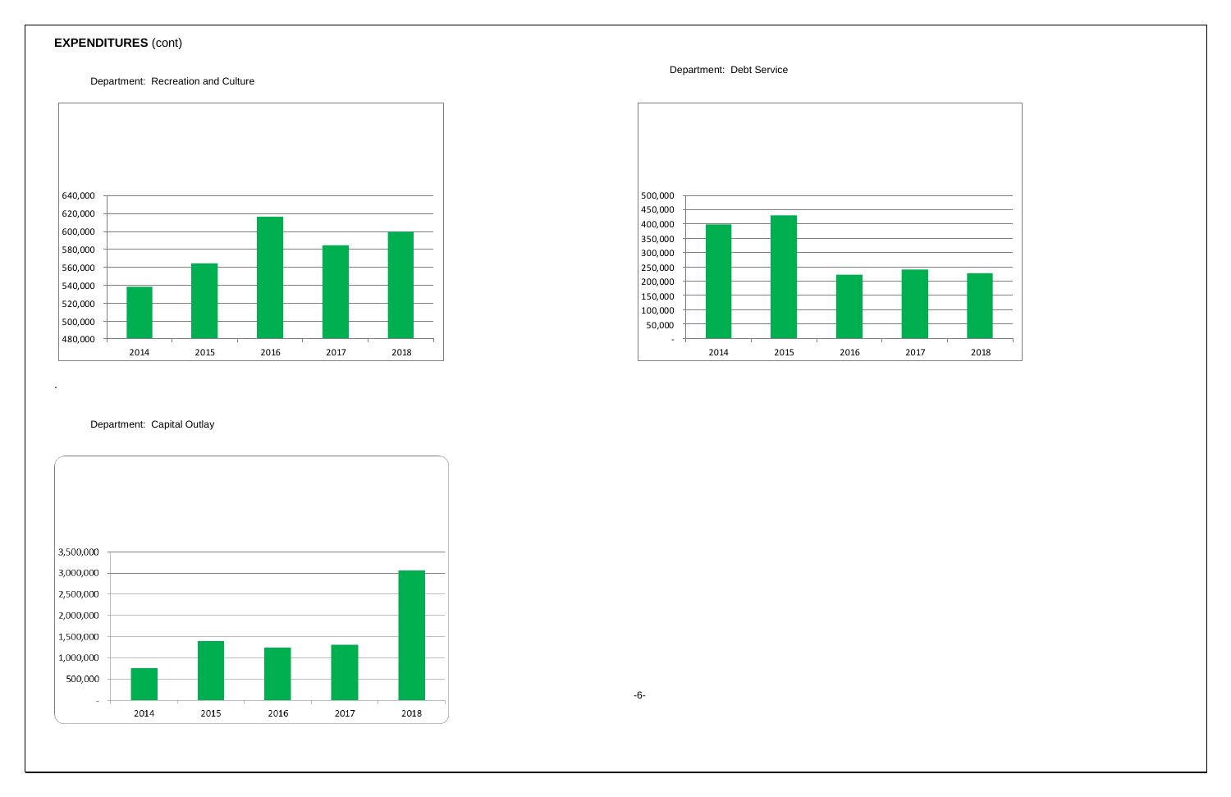# **EXPENDITURES** (cont)

### Department: Recreation and Culture



.



### Department: Capital Outlay

Department: Debt Service



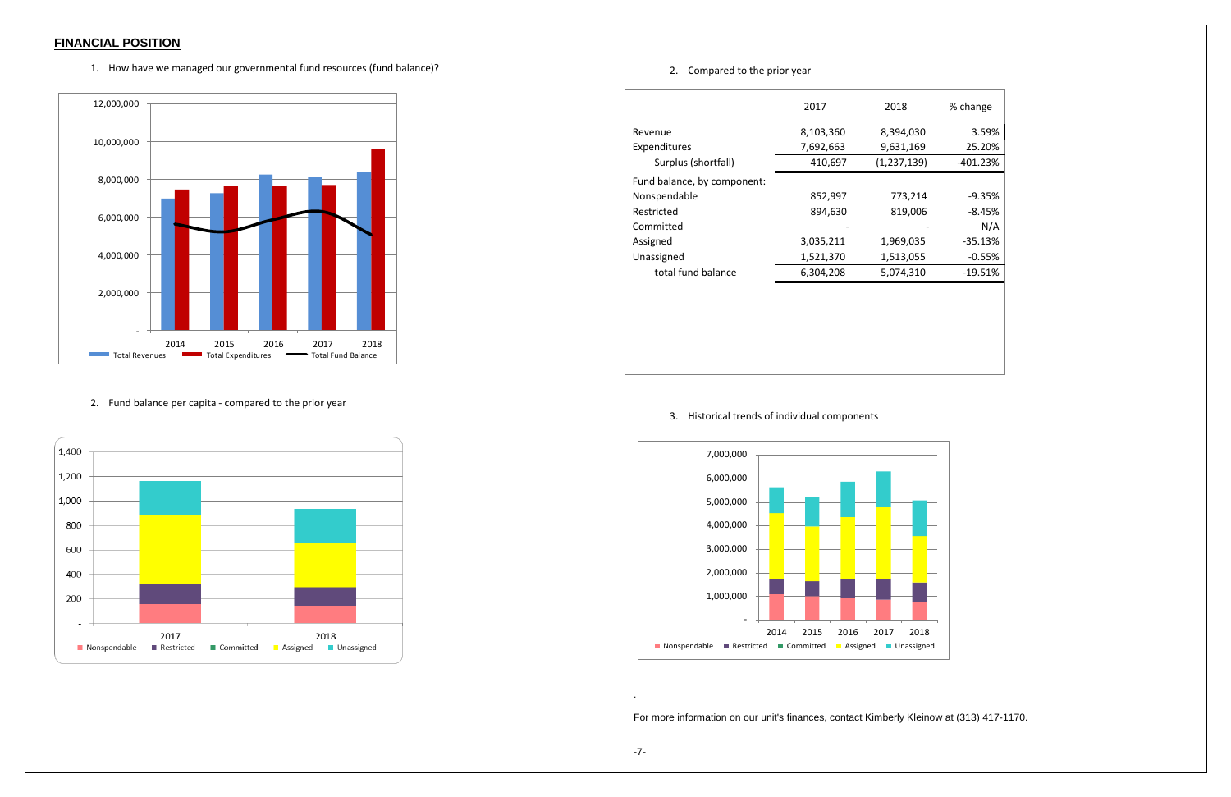## **FINANCIAL POSITION**

1. How have we managed our governmental fund resources (fund balance)?



2. Fund balance per capita - compared to the prior year



#### 2. Compared to the prior year

|                             | 2017      | 2018        | % change  |
|-----------------------------|-----------|-------------|-----------|
| Revenue                     | 8,103,360 | 8,394,030   | 3.59%     |
| Expenditures                | 7,692,663 | 9,631,169   | 25.20%    |
| Surplus (shortfall)         | 410,697   | (1,237,139) | -401.23%  |
| Fund balance, by component: |           |             |           |
| Nonspendable                | 852,997   | 773,214     | $-9.35%$  |
| Restricted                  | 894,630   | 819,006     | $-8.45%$  |
| Committed                   |           |             | N/A       |
| Assigned                    | 3,035,211 | 1,969,035   | $-35.13%$ |
| Unassigned                  | 1,521,370 | 1,513,055   | $-0.55%$  |
| total fund balance          | 6,304,208 | 5,074,310   | $-19.51%$ |
|                             |           |             |           |
|                             |           |             |           |
|                             |           |             |           |

### 3. Historical trends of individual components



.

| $\overline{\mathbf{S}}$ | % change   |
|-------------------------|------------|
| ,030                    | 3.59%      |
| ,169                    | 25.20%     |
| ,139)                   | $-401.23%$ |
|                         |            |
| 3,214                   | $-9.35%$   |
| 9,006                   | $-8.45%$   |
|                         | N/A        |
| ,035                    | $-35.13%$  |
| ,055                    | $-0.55%$   |
| ,310                    | $-19.51%$  |
|                         |            |



For more information on our unit's finances, contact Kimberly Kleinow at (313) 417-1170.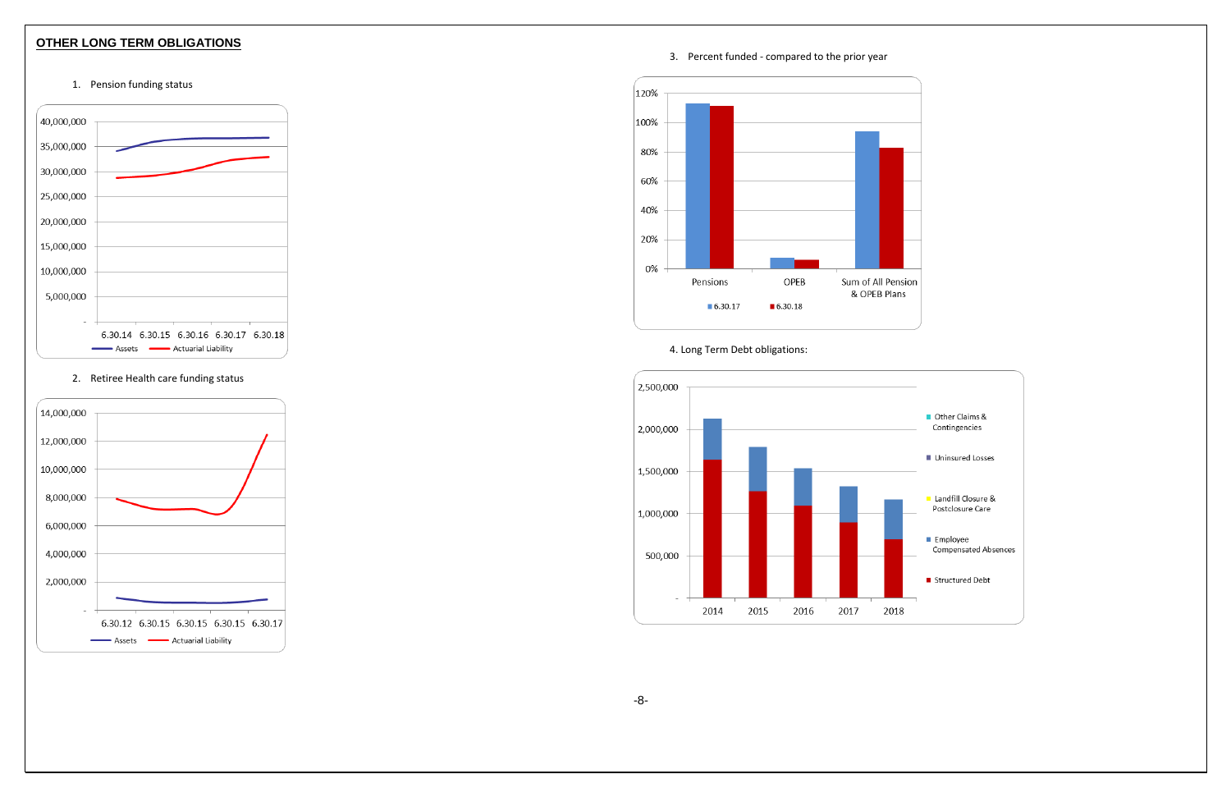## **OTHER LONG TERM OBLIGATIONS**





2. Retiree Health care funding status



3. Percent funded - compared to the prior year



4. Long Term Debt obligations: